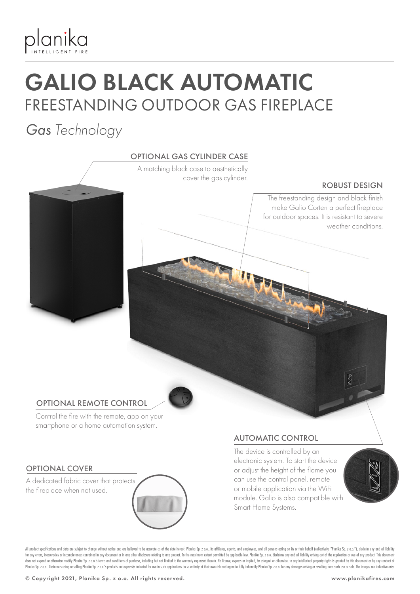

# GALIO BLACK AUTOMATIC FREESTANDING OUTDOOR GAS FIREPLACE

*Gas Technology*

## OPTIONAL GAS CYLINDER CASE

A matching black case to aesthetically cover the gas cylinder.

#### ROBUST DESIGN

The freestanding design and black finish make Galio Corten a perfect fireplace for outdoor spaces. It is resistant to severe weather conditions.

## OPTIONAL REMOTE CONTROL

Control the fire with the remote, app on your smartphone or a home automation system.

## OPTIONAL COVER

A dedicated fabric cover that protects the fireplace when not used.

## AUTOMATIC CONTROL

The device is controlled by an electronic system. To start the device or adjust the height of the flame you can use the control panel, remote or mobile application via the WiFi module. Galio is also compatible with Smart Home Systems.



All product specifications and data are subject to change without notice and are believed to be accurate as of the date hereof. Planika Sp. z o.o., its affiliates, agents, and employees, and all persons acting on its or th for any errors, inaccuracies or incompleteness contained in any document or in any other disclosure relating to any product. To the maximum extent permitted by applicable law, Planika Sp. z o.o. disclaims any and all liabi does not expand or otherwise modify Planka Sp. z o.o.'s terms and conditions of purchase, including but not limited to the warranty expressed therein. No license, express or implied, by estoppel or otherwise, to any intell Planika Sp. z o.o. Customers using or selling Planika Sp. z o.o.'s products not expressly indicated for use in such applications do so entirely at their own risk and agree to fully indemnify Planika Sp. z o.o. for any dama